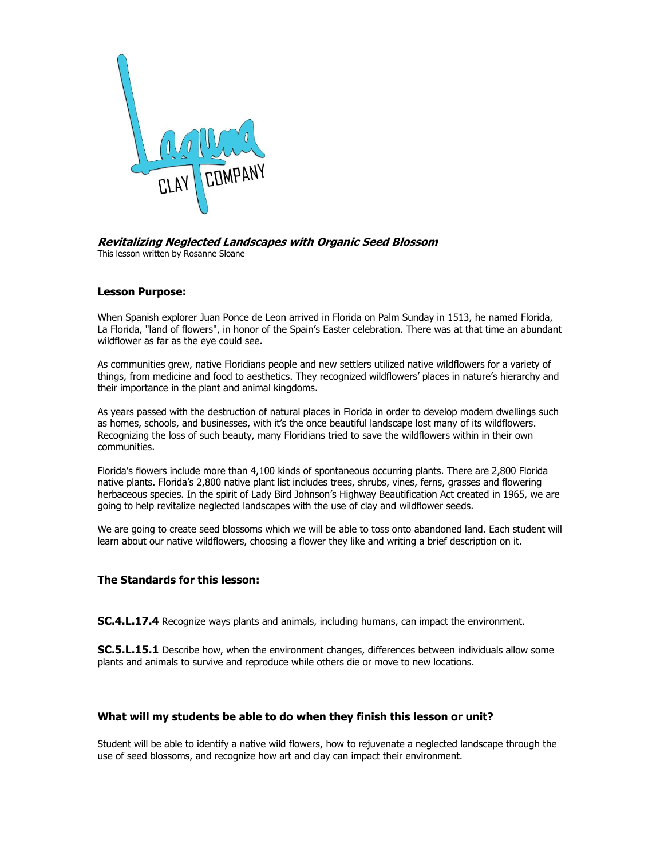

#### **Revitalizing Neglected Landscapes with Organic Seed Blossom** This lesson written by Rosanne Sloane

# **Lesson Purpose:**

When Spanish explorer Juan Ponce de Leon arrived in Florida on Palm Sunday in 1513, he named Florida, La Florida, "land of flowers", in honor of the Spain's Easter celebration. There was at that time an abundant wildflower as far as the eye could see.

As communities grew, native Floridians people and new settlers utilized native wildflowers for a variety of things, from medicine and food to aesthetics. They recognized wildflowers' places in nature's hierarchy and their importance in the plant and animal kingdoms.

As years passed with the destruction of natural places in Florida in order to develop modern dwellings such as homes, schools, and businesses, with it's the once beautiful landscape lost many of its wildflowers. Recognizing the loss of such beauty, many Floridians tried to save the wildflowers within in their own communities.

Florida's flowers include more than 4,100 kinds of spontaneous occurring plants. There are 2,800 Florida native plants. Florida's 2,800 native plant list includes trees, shrubs, vines, ferns, grasses and flowering herbaceous species. In the spirit of Lady Bird Johnson's Highway Beautification Act created in 1965, we are going to help revitalize neglected landscapes with the use of clay and wildflower seeds.

We are going to create seed blossoms which we will be able to toss onto abandoned land. Each student will learn about our native wildflowers, choosing a flower they like and writing a brief description on it.

## **The Standards for this lesson:**

**SC.4.L.17.4** Recognize ways plants and animals, including humans, can impact the environment.

**SC.5.L.15.1** Describe how, when the environment changes, differences between individuals allow some plants and animals to survive and reproduce while others die or move to new locations.

### **What will my students be able to do when they finish this lesson or unit?**

Student will be able to identify a native wild flowers, how to rejuvenate a neglected landscape through the use of seed blossoms, and recognize how art and clay can impact their environment.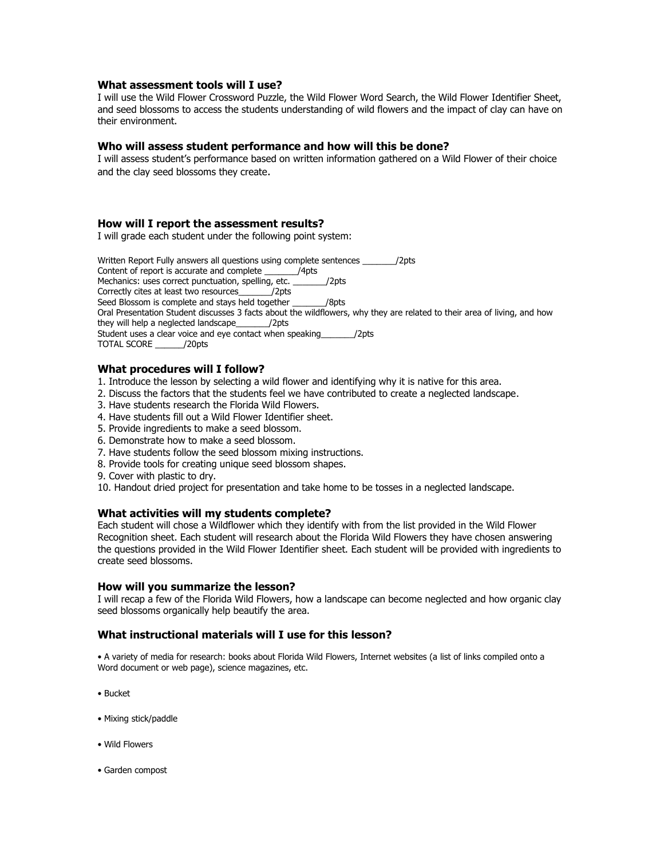#### **What assessment tools will I use?**

I will use the Wild Flower Crossword Puzzle, the Wild Flower Word Search, the Wild Flower Identifier Sheet, and seed blossoms to access the students understanding of wild flowers and the impact of clay can have on their environment.

#### **Who will assess student performance and how will this be done?**

I will assess student's performance based on written information gathered on a Wild Flower of their choice and the clay seed blossoms they create.

#### **How will I report the assessment results?**

I will grade each student under the following point system:

Written Report Fully answers all questions using complete sentences \_\_\_\_\_\_\_\_\_/2pts Content of report is accurate and complete \_\_\_\_\_\_\_/4pts Mechanics: uses correct punctuation, spelling, etc. \_\_\_\_\_\_\_/2pts Correctly cites at least two resources\_\_\_\_\_\_\_/2pts Seed Blossom is complete and stays held together /8pts Oral Presentation Student discusses 3 facts about the wildflowers, why they are related to their area of living, and how they will help a neglected landscape\_\_\_\_\_\_\_/2pts Student uses a clear voice and eye contact when speaking\_\_\_\_\_\_\_/2pts TOTAL SCORE \_\_\_\_\_\_/20pts

### **What procedures will I follow?**

- 1. Introduce the lesson by selecting a wild flower and identifying why it is native for this area.
- 2. Discuss the factors that the students feel we have contributed to create a neglected landscape.
- 3. Have students research the Florida Wild Flowers.
- 4. Have students fill out a Wild Flower Identifier sheet.
- 5. Provide ingredients to make a seed blossom.
- 6. Demonstrate how to make a seed blossom.
- 7. Have students follow the seed blossom mixing instructions.
- 8. Provide tools for creating unique seed blossom shapes.
- 9. Cover with plastic to dry.
- 10. Handout dried project for presentation and take home to be tosses in a neglected landscape.

#### **What activities will my students complete?**

Each student will chose a Wildflower which they identify with from the list provided in the Wild Flower Recognition sheet. Each student will research about the Florida Wild Flowers they have chosen answering the questions provided in the Wild Flower Identifier sheet. Each student will be provided with ingredients to create seed blossoms.

#### **How will you summarize the lesson?**

I will recap a few of the Florida Wild Flowers, how a landscape can become neglected and how organic clay seed blossoms organically help beautify the area.

#### **What instructional materials will I use for this lesson?**

• A variety of media for research: books about Florida Wild Flowers, Internet websites (a list of links compiled onto a Word document or web page), science magazines, etc.

- Bucket
- Mixing stick/paddle
- Wild Flowers
- Garden compost